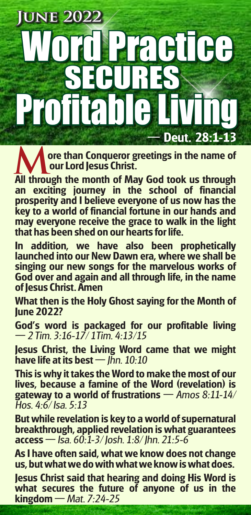## **Deut. 28:1-13 June 2022 Practice** ECUR Profitable

**ore than Conqueror greetings in the name of our Lord Jesus Christ. All through the month of May God took us through the month of May God took us through** 

**an exciting journey in the school of financial prosperity and I believe everyone of us now has the key to a world of financial fortune in our hands and may everyone receive the grace to walk in the light that has been shed on our hearts for life.**

**In addition, we have also been prophetically launched into our New Dawn era, where we shall be singing our new songs for the marvelous works of God over and again and all through life, in the name of Jesus Christ. Amen**

**What then is the Holy Ghost saying for the Month of June 2022?**

**God's word is packaged for our profitable living**  $-$  2 Tim. 3:16-17/1Tim. 4:13/15

**Jesus Christ, the Living Word came that we might have life at its best** — Ihn. 10:10

**This is why it takes the Word to make the most of our lives, because a famine of the Word (revelation) is gateway to a world of frustrations – Amos 8:11-14/** Hos. 4:6/ Isa. 5:13

**But while revelation is key to a world of supernatural breakthrough, applied revelation is what guarantees access** — Isa. 60:1-3/ Josh. 1:8/ Jhn. 21:5-6

**As I have often said, what we know does not change us, but what we do with what we know is what does.**

**Jesus Christ said that hearing and doing His Word is what secures the future of anyone of us in the kingdom** – Mat. 7:24-25